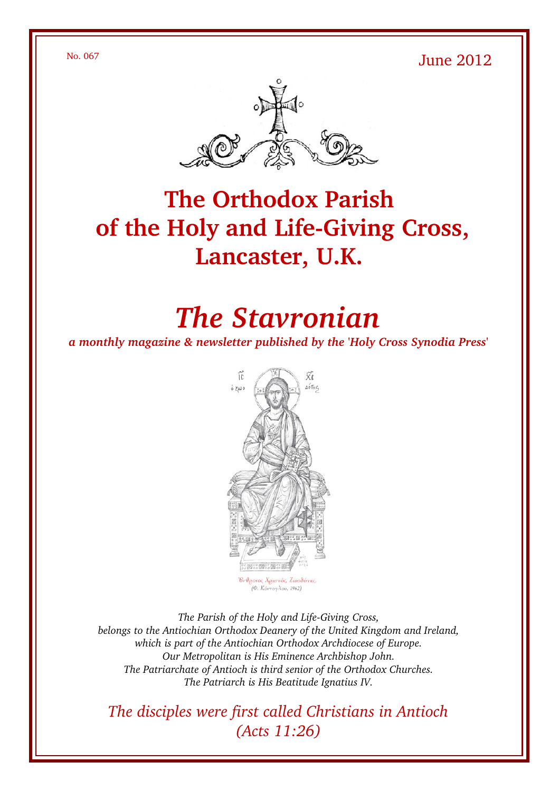$N<sub>0</sub>$ . 067 June 2012



## **The Orthodox Parish** of the Holy and Life-Giving Cross, **Lancaster, U.K.**

# *The Stavronian*

*a monthly magazine & newsletter published by the 'Holy Cross Synodia Press'*



The Parish of the Holy and Life-Giving Cross, *belongs to the Antiochian Orthodox Deanery of the United Kingdom and Ireland, which is part of the Antiochian Orthodox Archdiocese of Europe. Our Metropolitan is His Eminence Archbishop John. The Patriarchate of Antioch is third senior of the Orthodox Churches. The Patriarch is His Beatitude Ignatius IV.*

*The disciples were first called Christians in Antioch (Acts 11:26)*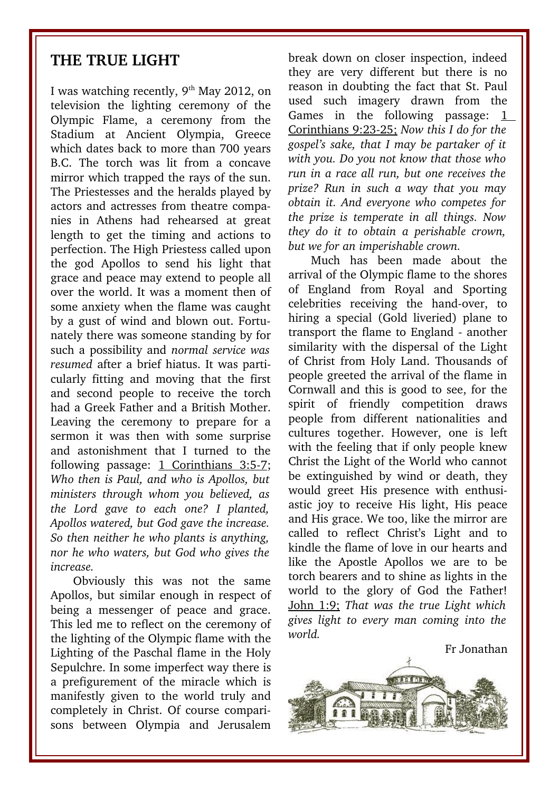#### **THE TRUE LIGHT**

I was watching recently,  $9<sup>th</sup>$  May 2012, on television the lighting ceremony of the Olympic Flame, a ceremony from the Stadium at Ancient Olympia, Greece which dates back to more than 700 years B.C. The torch was lit from a concave mirror which trapped the rays of the sun. The Priestesses and the heralds played by actors and actresses from theatre companies in Athens had rehearsed at great length to get the timing and actions to perfection. The High Priestess called upon the god Apollos to send his light that grace and peace may extend to people all over the world. It was a moment then of some anxiety when the flame was caught by a gust of wind and blown out. Fortunately there was someone standing by for such a possibility and *normal service was resumed* after a brief hiatus. It was particularly fitting and moving that the first and second people to receive the torch had a Greek Father and a British Mother. Leaving the ceremony to prepare for a sermon it was then with some surprise and astonishment that I turned to the following passage:  $1$  Corinthians 3:5-7; *Who then is Paul, and who is Apollos, but ministers through whom you believed, as the Lord gave to each one? I planted, Apollos watered, but God gave the increase. So then neither he who plants is anything, nor he who waters, but God who gives the increase.*

Obviously this was not the same Apollos, but similar enough in respect of being a messenger of peace and grace. This led me to reflect on the ceremony of the lighting of the Olympic flame with the Lighting of the Paschal flame in the Holy Sepulchre. In some imperfect way there is a prefigurement of the miracle which is manifestly given to the world truly and completely in Christ. Of course comparisons between Olympia and Jerusalem break down on closer inspection, indeed they are very different but there is no reason in doubting the fact that St. Paul used such imagery drawn from the Games in the following passage: 1 Corinthians 9:2325; *Now this I do for the gospel's sake, that I may be partaker of it with you. Do you not know that those who run in a race all run, but one receives the prize? Run in such a way that you may obtain it. And everyone who competes for the prize is temperate in all things. Now they do it to obtain a perishable crown, but we for an imperishable crown.* 

Much has been made about the arrival of the Olympic flame to the shores of England from Royal and Sporting celebrities receiving the hand-over, to hiring a special (Gold liveried) plane to transport the flame to England - another similarity with the dispersal of the Light of Christ from Holy Land. Thousands of people greeted the arrival of the flame in Cornwall and this is good to see, for the spirit of friendly competition draws people from different nationalities and cultures together. However, one is left with the feeling that if only people knew Christ the Light of the World who cannot be extinguished by wind or death, they would greet His presence with enthusiastic joy to receive His light, His peace and His grace. We too, like the mirror are called to reflect Christ's Light and to kindle the flame of love in our hearts and like the Apostle Apollos we are to be torch bearers and to shine as lights in the world to the glory of God the Father! John 1:9; *That was the true Light which gives light to every man coming into the world.*



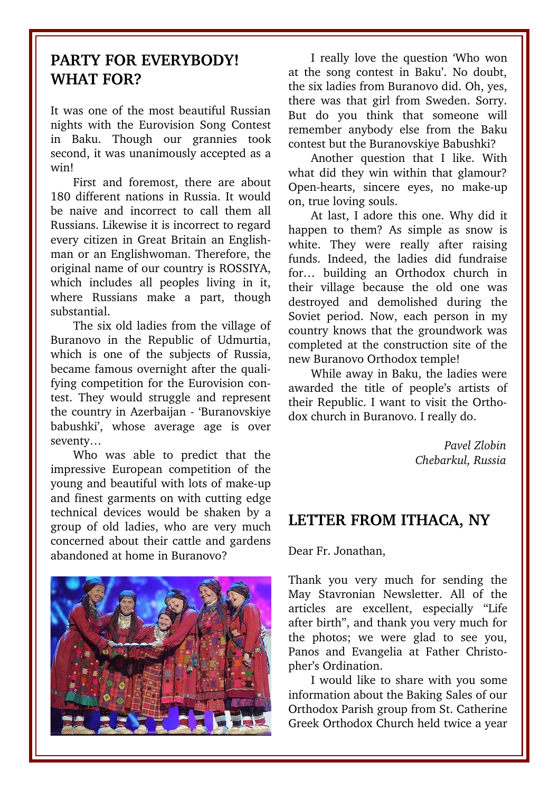### **PARTY FOR EVERYBODY! WHAT FOR?**

It was one of the most beautiful Russian nights with the Eurovision Song Contest in Baku. Though our grannies took second, it was unanimously accepted as a win!

First and foremost, there are about 180 different nations in Russia. It would be naive and incorrect to call them all Russians. Likewise it is incorrect to regard every citizen in Great Britain an Englishman or an Englishwoman. Therefore, the original name of our country is ROSSIYA, which includes all peoples living in it, where Russians make a part, though substantial.

The six old ladies from the village of Buranovo in the Republic of Udmurtia, which is one of the subjects of Russia, became famous overnight after the qualifying competition for the Eurovision contest. They would struggle and represent the country in Azerbaijan - 'Buranovskiye babushki', whose average age is over seventy…

Who was able to predict that the impressive European competition of the young and beautiful with lots of make-up and finest garments on with cutting edge technical devices would be shaken by a group of old ladies, who are very much concerned about their cattle and gardens abandoned at home in Buranovo?



I really love the question 'Who won at the song contest in Baku'. No doubt, the six ladies from Buranovo did. Oh, yes, there was that girl from Sweden. Sorry. But do you think that someone will remember anybody else from the Baku contest but the Buranovskiye Babushki?

Another question that I like. With what did they win within that glamour? Open-hearts, sincere eyes, no make-up on, true loving souls.

At last, I adore this one. Why did it happen to them? As simple as snow is white. They were really after raising funds. Indeed, the ladies did fundraise for... building an Orthodox church in their village because the old one was destroyed and demolished during the Soviet period. Now, each person in my country knows that the groundwork was completed at the construction site of the new Buranovo Orthodox temple!

While away in Baku, the ladies were awarded the title of people's artists of their Republic. I want to visit the Orthodox church in Buranovo. I really do.

> *Pavel Zlobin Chebarkul, Russia*

#### **LETTER FROM ITHACA, NY**

Dear Fr. Jonathan,

Thank you very much for sending the May Stavronian Newsletter. All of the articles are excellent, especially "Life after birth", and thank you very much for the photos; we were glad to see you, Panos and Evangelia at Father Christopher's Ordination.

I would like to share with you some information about the Baking Sales of our Orthodox Parish group from St. Catherine Greek Orthodox Church held twice a year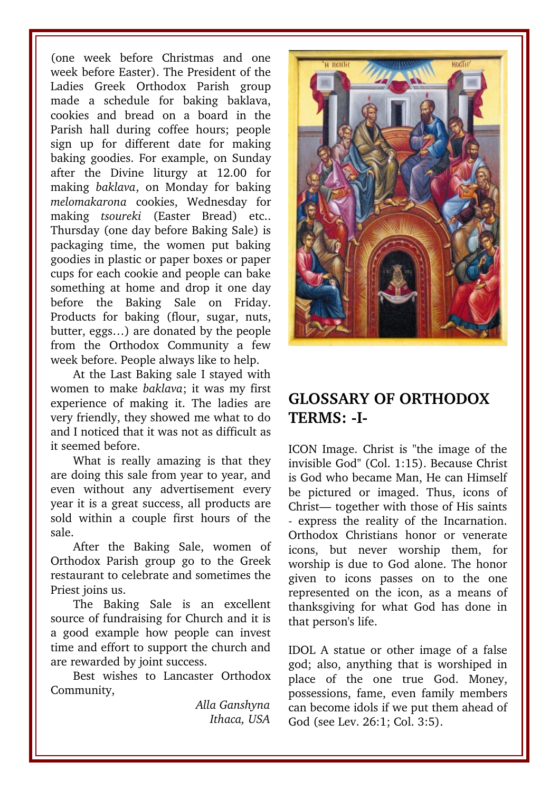(one week before Christmas and one week before Easter). The President of the Ladies Greek Orthodox Parish group made a schedule for baking baklava, cookies and bread on a board in the Parish hall during coffee hours; people sign up for different date for making baking goodies. For example, on Sunday after the Divine liturgy at 12.00 for making *baklava*, on Monday for baking *melomakarona* cookies, Wednesday for making *tsoureki* (Easter Bread) etc.. Thursday (one day before Baking Sale) is packaging time, the women put baking goodies in plastic or paper boxes or paper cups for each cookie and people can bake something at home and drop it one day before the Baking Sale on Friday. Products for baking (flour, sugar, nuts, butter, eggs…) are donated by the people from the Orthodox Community a few week before. People always like to help.

At the Last Baking sale I stayed with women to make *baklava*; it was my first experience of making it. The ladies are very friendly, they showed me what to do and I noticed that it was not as difficult as it seemed before.

What is really amazing is that they are doing this sale from year to year, and even without any advertisement every year it is a great success, all products are sold within a couple first hours of the sale.

After the Baking Sale, women of Orthodox Parish group go to the Greek restaurant to celebrate and sometimes the Priest joins us.

The Baking Sale is an excellent source of fundraising for Church and it is a good example how people can invest time and effort to support the church and are rewarded by joint success.

Best wishes to Lancaster Orthodox Community,

> *Alla Ganshyna Ithaca, USA*



## **GLOSSARY OF ORTHODOX TERMS: I-**

ICON Image. Christ is "the image of the invisible God" (Col. 1:15). Because Christ is God who became Man, He can Himself be pictured or imaged. Thus, icons of Christ— together with those of His saints express the reality of the Incarnation. Orthodox Christians honor or venerate icons, but never worship them, for worship is due to God alone. The honor given to icons passes on to the one represented on the icon, as a means of thanksgiving for what God has done in that person's life.

IDOL A statue or other image of a false god; also, anything that is worshiped in place of the one true God. Money, possessions, fame, even family members can become idols if we put them ahead of God (see Lev. 26:1; Col. 3:5).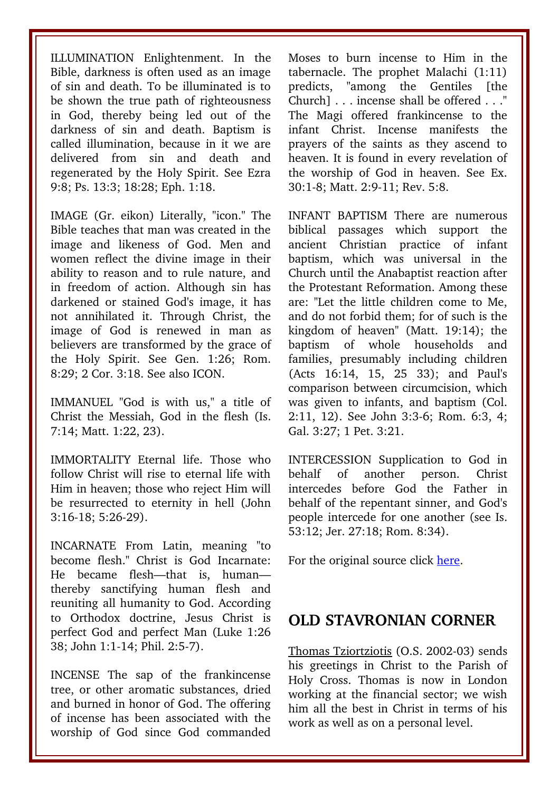ILLUMINATION Enlightenment. In the Bible, darkness is often used as an image of sin and death. To be illuminated is to be shown the true path of righteousness in God, thereby being led out of the darkness of sin and death. Baptism is called illumination, because in it we are delivered from sin and death and regenerated by the Holy Spirit. See Ezra 9:8; Ps. 13:3; 18:28; Eph. 1:18.

IMAGE (Gr. eikon) Literally, "icon." The Bible teaches that man was created in the image and likeness of God. Men and women reflect the divine image in their ability to reason and to rule nature, and in freedom of action. Although sin has darkened or stained God's image, it has not annihilated it. Through Christ, the image of God is renewed in man as believers are transformed by the grace of the Holy Spirit. See Gen. 1:26: Rom. 8:29; 2 Cor. 3:18. See also ICON.

IMMANUEL "God is with us," a title of Christ the Messiah, God in the flesh (Is. 7:14; Matt. 1:22, 23).

IMMORTALITY Eternal life. Those who follow Christ will rise to eternal life with Him in heaven; those who reject Him will be resurrected to eternity in hell (John 3:1618; 5:2629).

INCARNATE From Latin, meaning "to become flesh." Christ is God Incarnate: He became flesh—that is, human thereby sanctifying human flesh and reuniting all humanity to God. According to Orthodox doctrine, Jesus Christ is perfect God and perfect Man (Luke 1:26 38; John 1:1-14; Phil. 2:5-7).

INCENSE The sap of the frankincense tree, or other aromatic substances, dried and burned in honor of God. The offering of incense has been associated with the worship of God since God commanded Moses to burn incense to Him in the tabernacle. The prophet Malachi (1:11) predicts, "among the Gentiles [the Church] . . . incense shall be offered . . ." The Magi offered frankincense to the infant Christ. Incense manifests the prayers of the saints as they ascend to heaven. It is found in every revelation of the worship of God in heaven. See Ex. 30:1-8; Matt. 2:9-11; Rev. 5:8.

INFANT BAPTISM There are numerous biblical passages which support the ancient Christian practice of infant baptism, which was universal in the Church until the Anabaptist reaction after the Protestant Reformation. Among these are: "Let the little children come to Me, and do not forbid them; for of such is the kingdom of heaven" (Matt. 19:14); the baptism of whole households and families, presumably including children (Acts 16:14, 15, 25 33): and Paul's comparison between circumcision, which was given to infants, and baptism (Col. 2:11, 12). See John 3:3-6; Rom. 6:3, 4; Gal. 3:27; 1 Pet. 3:21.

INTERCESSION Supplication to God in behalf of another person. Christ intercedes before God the Father in behalf of the repentant sinner, and God's people intercede for one another (see Is. 53:12; Jer. 27:18; Rom. 8:34).

For the original source click [here.](http://www.antiochian.org/orthodox-church-terms-h-n)

#### **OLD STAVRONIAN CORNER**

Thomas Tziortziotis (O.S. 2002-03) sends his greetings in Christ to the Parish of Holy Cross. Thomas is now in London working at the financial sector; we wish him all the best in Christ in terms of his work as well as on a personal level.